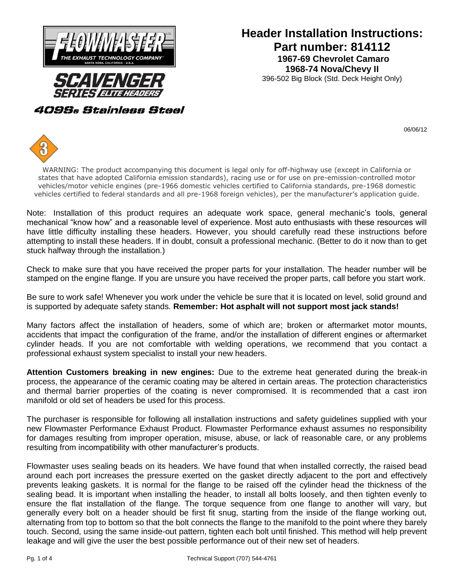

## **Part number: 814112 1967-69 Chevrolet Camaro Header Installation Instructions: 1968-74 Nova/Chevy II**

### 396-502 Big Block (Std. Deck Height Only)

409S® Stainless Steel

06/06/12



WARNING: The product accompanying this document is legal only for off-highway use (except in California or states that have adopted California emission standards), racing use or for use on pre-emission-controlled motor vehicles/motor vehicle engines (pre-1966 domestic vehicles certified to California standards, pre-1968 domestic vehicles certified to federal standards and all pre-1968 foreign vehicles), per the manufacturer's application guide.

Note: Installation of this product requires an adequate work space, general mechanic's tools, general mechanical "know how" and a reasonable level of experience. Most auto enthusiasts with these resources will have little difficulty installing these headers. However, you should carefully read these instructions before attempting to install these headers. If in doubt, consult a professional mechanic. (Better to do it now than to get stuck halfway through the installation.)

Check to make sure that you have received the proper parts for your installation. The header number will be stamped on the engine flange. If you are unsure you have received the proper parts, call before you start work.

Be sure to work safe! Whenever you work under the vehicle be sure that it is located on level, solid ground and is supported by adequate safety stands. **Remember: Hot asphalt will not support most jack stands!**

Many factors affect the installation of headers, some of which are; broken or aftermarket motor mounts, accidents that impact the configuration of the frame, and/or the installation of different engines or aftermarket cylinder heads. If you are not comfortable with welding operations, we recommend that you contact a professional exhaust system specialist to install your new headers.

**Attention Customers breaking in new engines:** Due to the extreme heat generated during the break-in process, the appearance of the ceramic coating may be altered in certain areas. The protection characteristics and thermal barrier properties of the coating is never compromised. It is recommended that a cast iron manifold or old set of headers be used for this process.

The purchaser is responsible for following all installation instructions and safety guidelines supplied with your new Flowmaster Performance Exhaust Product. Flowmaster Performance exhaust assumes no responsibility for damages resulting from improper operation, misuse, abuse, or lack of reasonable care, or any problems resulting from incompatibility with other manufacturer's products.

Flowmaster uses sealing beads on its headers. We have found that when installed correctly, the raised bead around each port increases the pressure exerted on the gasket directly adjacent to the port and effectively prevents leaking gaskets. It is normal for the flange to be raised off the cylinder head the thickness of the sealing bead. It is important when installing the header, to install all bolts loosely, and then tighten evenly to ensure the flat installation of the flange. The torque sequence from one flange to another will vary, but generally every bolt on a header should be first fit snug, starting from the inside of the flange working out, alternating from top to bottom so that the bolt connects the flange to the manifold to the point where they barely touch. Second, using the same inside-out pattern, tighten each bolt until finished. This method will help prevent leakage and will give the user the best possible performance out of their new set of headers.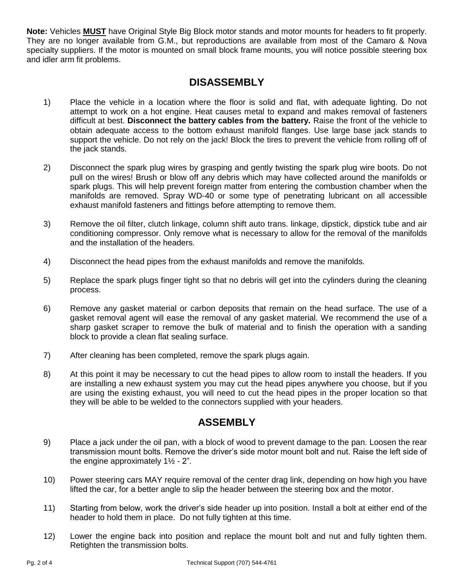**Note:** Vehicles **MUST** have Original Style Big Block motor stands and motor mounts for headers to fit properly. They are no longer available from G.M., but reproductions are available from most of the Camaro & Nova specialty suppliers. If the motor is mounted on small block frame mounts, you will notice possible steering box and idler arm fit problems.

# **DISASSEMBLY**

- 1) Place the vehicle in a location where the floor is solid and flat, with adequate lighting. Do not attempt to work on a hot engine. Heat causes metal to expand and makes removal of fasteners difficult at best. **Disconnect the battery cables from the battery.** Raise the front of the vehicle to obtain adequate access to the bottom exhaust manifold flanges. Use large base jack stands to support the vehicle. Do not rely on the jack! Block the tires to prevent the vehicle from rolling off of the jack stands.
- 2) Disconnect the spark plug wires by grasping and gently twisting the spark plug wire boots. Do not pull on the wires! Brush or blow off any debris which may have collected around the manifolds or spark plugs. This will help prevent foreign matter from entering the combustion chamber when the manifolds are removed. Spray WD-40 or some type of penetrating lubricant on all accessible exhaust manifold fasteners and fittings before attempting to remove them.
- 3) Remove the oil filter, clutch linkage, column shift auto trans. linkage, dipstick, dipstick tube and air conditioning compressor. Only remove what is necessary to allow for the removal of the manifolds and the installation of the headers.
- 4) Disconnect the head pipes from the exhaust manifolds and remove the manifolds.
- 5) Replace the spark plugs finger tight so that no debris will get into the cylinders during the cleaning process.
- 6) Remove any gasket material or carbon deposits that remain on the head surface. The use of a gasket removal agent will ease the removal of any gasket material. We recommend the use of a sharp gasket scraper to remove the bulk of material and to finish the operation with a sanding block to provide a clean flat sealing surface.
- 7) After cleaning has been completed, remove the spark plugs again.
- 8) At this point it may be necessary to cut the head pipes to allow room to install the headers. If you are installing a new exhaust system you may cut the head pipes anywhere you choose, but if you are using the existing exhaust, you will need to cut the head pipes in the proper location so that they will be able to be welded to the connectors supplied with your headers.

## **ASSEMBLY**

- 9) Place a jack under the oil pan, with a block of wood to prevent damage to the pan. Loosen the rear transmission mount bolts. Remove the driver's side motor mount bolt and nut. Raise the left side of the engine approximately  $1\frac{1}{2}$  - 2".
- 10) Power steering cars MAY require removal of the center drag link, depending on how high you have lifted the car, for a better angle to slip the header between the steering box and the motor.
- 11) Starting from below, work the driver's side header up into position. Install a bolt at either end of the header to hold them in place. Do not fully tighten at this time.
- 12) Lower the engine back into position and replace the mount bolt and nut and fully tighten them. Retighten the transmission bolts.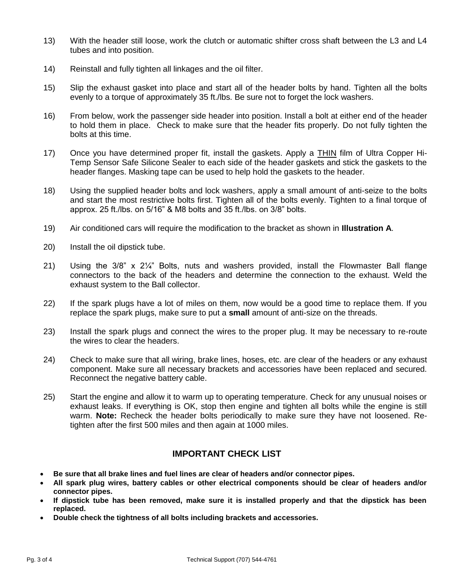- 13) With the header still loose, work the clutch or automatic shifter cross shaft between the L3 and L4 tubes and into position.
- 14) Reinstall and fully tighten all linkages and the oil filter.
- 15) Slip the exhaust gasket into place and start all of the header bolts by hand. Tighten all the bolts evenly to a torque of approximately 35 ft./lbs. Be sure not to forget the lock washers.
- 16) From below, work the passenger side header into position. Install a bolt at either end of the header to hold them in place. Check to make sure that the header fits properly. Do not fully tighten the bolts at this time.
- 17) Once you have determined proper fit, install the gaskets. Apply a **THIN** film of Ultra Copper Hi-Temp Sensor Safe Silicone Sealer to each side of the header gaskets and stick the gaskets to the header flanges. Masking tape can be used to help hold the gaskets to the header.
- 18) Using the supplied header bolts and lock washers, apply a small amount of anti-seize to the bolts and start the most restrictive bolts first. Tighten all of the bolts evenly. Tighten to a final torque of approx. 25 ft./lbs. on 5/16" & M8 bolts and 35 ft./lbs. on 3/8" bolts.
- 19) Air conditioned cars will require the modification to the bracket as shown in **Illustration A**.
- 20) Install the oil dipstick tube.
- 21) Using the 3/8" x 2¼" Bolts, nuts and washers provided, install the Flowmaster Ball flange connectors to the back of the headers and determine the connection to the exhaust. Weld the exhaust system to the Ball collector.
- 22) If the spark plugs have a lot of miles on them, now would be a good time to replace them. If you replace the spark plugs, make sure to put a **small** amount of anti-size on the threads.
- 23) Install the spark plugs and connect the wires to the proper plug. It may be necessary to re-route the wires to clear the headers.
- 24) Check to make sure that all wiring, brake lines, hoses, etc. are clear of the headers or any exhaust component. Make sure all necessary brackets and accessories have been replaced and secured. Reconnect the negative battery cable.
- 25) Start the engine and allow it to warm up to operating temperature. Check for any unusual noises or exhaust leaks. If everything is OK, stop then engine and tighten all bolts while the engine is still warm. **Note:** Recheck the header bolts periodically to make sure they have not loosened. Retighten after the first 500 miles and then again at 1000 miles.

### **IMPORTANT CHECK LIST**

- **Be sure that all brake lines and fuel lines are clear of headers and/or connector pipes.**
- **All spark plug wires, battery cables or other electrical components should be clear of headers and/or connector pipes.**
- **If dipstick tube has been removed, make sure it is installed properly and that the dipstick has been replaced.**
- **Double check the tightness of all bolts including brackets and accessories.**